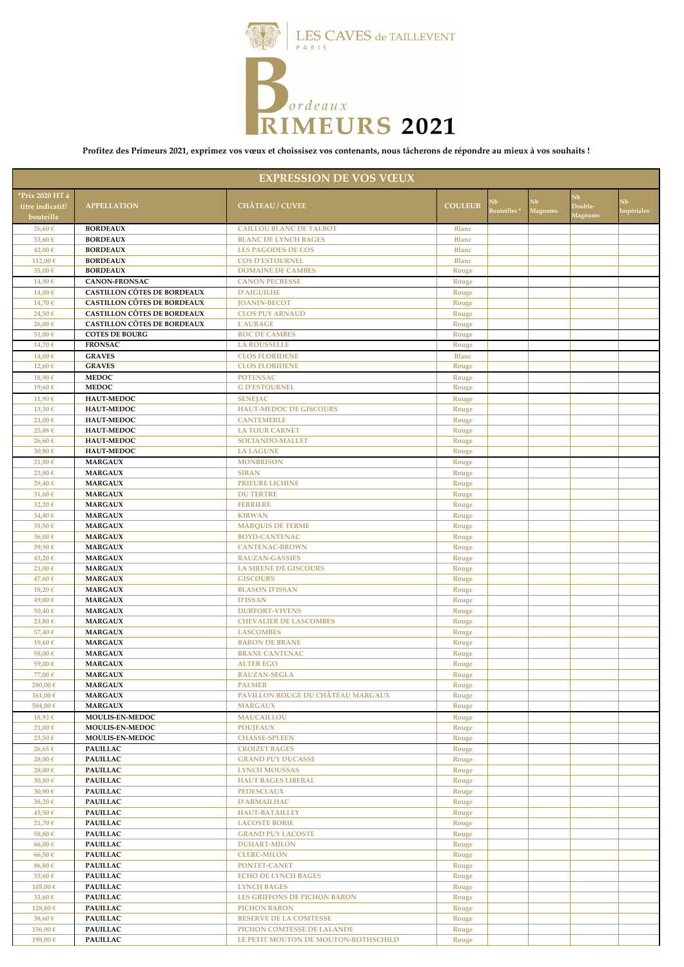

**Profitez des Primeurs 2021, exprimez vos vœux et choissisez vos contenants, nous tâcherons de répondre au mieux à vos souhaits !**

| <b>EXPRESSION DE VOS VŒUX</b>                    |                                                                          |                                                   |                |                  |               |                          |                  |
|--------------------------------------------------|--------------------------------------------------------------------------|---------------------------------------------------|----------------|------------------|---------------|--------------------------|------------------|
| *Prix 2020 HT à<br>titre indicatif/<br>bouteille | <b>APPELLATION</b>                                                       | <b>CHÂTEAU / CUVEE</b>                            | <b>COULEUR</b> | NЬ<br>Bouteilles | Nb<br>Magnums | ÑЬ<br>Double-<br>Aagnums | Nb<br>Impériales |
| 26,60 €                                          | <b>BORDEAUX</b>                                                          | <b>CAILLOU BLANC DE TALBOT</b>                    | <b>Blanc</b>   |                  |               |                          |                  |
| 33,60 €                                          | <b>BORDEAUX</b>                                                          | <b>BLANC DE LYNCH BAGES</b>                       | <b>Blanc</b>   |                  |               |                          |                  |
| 42,00€                                           | <b>BORDEAUX</b>                                                          | <b>LES PAGODES DE COS</b>                         | <b>Blanc</b>   |                  |               |                          |                  |
| 112,00€                                          | <b>BORDEAUX</b>                                                          | <b>COS D'ESTOURNEL</b>                            | <b>Blanc</b>   |                  |               |                          |                  |
| 35,00 €                                          | <b>BORDEAUX</b>                                                          | <b>DOMAINE DE CAMBES</b>                          | Rouge          |                  |               |                          |                  |
| 14,906                                           | <b>CANON-FRONSAC</b>                                                     | <b>CANON PECRESSE</b>                             | Rouge          |                  |               |                          |                  |
| 14,00€<br>14,70€                                 | <b>CASTILLON CÔTES DE BORDEAUX</b><br><b>CASTILLON CÔTES DE BORDEAUX</b> | <b>D'AIGUILHE</b><br><b>IOANIN-BECOT</b>          | Rouge<br>Rouge |                  |               |                          |                  |
| 24,50€                                           | <b>CASTILLON CÔTES DE BORDEAUX</b>                                       | <b>CLOS PUY ARNAUD</b>                            | Rouge          |                  |               |                          |                  |
| 26,00 €                                          | <b>CASTILLON CÔTES DE BORDEAUX</b>                                       | <b>L'AURAGE</b>                                   | Rouge          |                  |               |                          |                  |
| 51,00€                                           | <b>COTES DE BOURG</b>                                                    | <b>ROC DE CAMBES</b>                              | Rouge          |                  |               |                          |                  |
| 14,70€                                           | <b>FRONSAC</b>                                                           | <b>LA ROUSSELLE</b>                               | Rouge          |                  |               |                          |                  |
| 14,00€                                           | <b>GRAVES</b>                                                            | <b>CLOS FLORIDENE</b>                             | <b>Blanc</b>   |                  |               |                          |                  |
| 12,60 €                                          | <b>GRAVES</b>                                                            | <b>CLOS FLORIDENE</b>                             | Rouge          |                  |               |                          |                  |
| 18,90€                                           | <b>MEDOC</b>                                                             | <b>POTENSAC</b>                                   | Rouge          |                  |               |                          |                  |
| 19,60€                                           | <b>MEDOC</b>                                                             | <b>G D'ESTOURNEL</b>                              | Rouge          |                  |               |                          |                  |
| 11,90€<br>13,30 €                                | HAUT-MEDOC<br><b>HAUT-MEDOC</b>                                          | <b>SENEJAC</b><br><b>HAUT-MEDOC DE GISCOURS</b>   | Rouge          |                  |               |                          |                  |
| 21,00€                                           | HAUT-MEDOC                                                               | <b>CANTEMERLE</b>                                 | Rouge<br>Rouge |                  |               |                          |                  |
| 25,88€                                           | HAUT-MEDOC                                                               | <b>LA TOUR CARNET</b>                             | Rouge          |                  |               |                          |                  |
| 26,60 €                                          | <b>HAUT-MEDOC</b>                                                        | <b>SOCIANDO-MALLET</b>                            | Rouge          |                  |               |                          |                  |
| 30,80€                                           | HAUT-MEDOC                                                               | <b>LA LAGUNE</b>                                  | Rouge          |                  |               |                          |                  |
| 21,50 €                                          | <b>MARGAUX</b>                                                           | <b>MONBRISON</b>                                  | Rouge          |                  |               |                          |                  |
| 23,80 €                                          | <b>MARGAUX</b>                                                           | <b>SIRAN</b>                                      | Rouge          |                  |               |                          |                  |
| 29,40€                                           | <b>MARGAUX</b>                                                           | <b>PRIEURE LICHINE</b>                            | Rouge          |                  |               |                          |                  |
| 31,60 €                                          | <b>MARGAUX</b>                                                           | <b>DU TERTRE</b>                                  | Rouge          |                  |               |                          |                  |
| 32,20€                                           | <b>MARGAUX</b>                                                           | <b>FERRIERE</b>                                   | Rouge          |                  |               |                          |                  |
| 34,80€<br>35,50 €                                | <b>MARGAUX</b><br><b>MARGAUX</b>                                         | <b>KIRWAN</b><br><b>MARQUIS DE TERME</b>          | Rouge<br>Rouge |                  |               |                          |                  |
| 36,00€                                           | <b>MARGAUX</b>                                                           | <b>BOYD-CANTENAC</b>                              | Rouge          |                  |               |                          |                  |
| 39,90€                                           | <b>MARGAUX</b>                                                           | <b>CANTENAC-BROWN</b>                             | Rouge          |                  |               |                          |                  |
| 43,20€                                           | <b>MARGAUX</b>                                                           | <b>RAUZAN-GASSIES</b>                             | Rouge          |                  |               |                          |                  |
| 21,00€                                           | <b>MARGAUX</b>                                                           | <b>LA SIRENE DE GISCOURS</b>                      | Rouge          |                  |               |                          |                  |
| 47,60€                                           | <b>MARGAUX</b>                                                           | <b>GISCOURS</b>                                   | Rouge          |                  |               |                          |                  |
| 18,20€                                           | <b>MARGAUX</b>                                                           | <b>BLASON D'ISSAN</b>                             | Rouge          |                  |               |                          |                  |
| 49,00€                                           | <b>MARGAUX</b>                                                           | <b>D'ISSAN</b>                                    | Rouge          |                  |               |                          |                  |
| 50,40€                                           | <b>MARGAUX</b>                                                           | <b>DURFORT-VIVENS</b>                             | Rouge          |                  |               |                          |                  |
| 23,80 €<br>57,40€                                | <b>MARGAUX</b><br><b>MARGAUX</b>                                         | <b>CHEVALIER DE LASCOMBES</b><br><b>LASCOMBES</b> | Rouge<br>Rouge |                  |               |                          |                  |
| 19,60€                                           | <b>MARGAUX</b>                                                           | <b>BARON DE BRANE</b>                             | Rouge          |                  |               |                          |                  |
| 58,00€                                           | <b>MARGAUX</b>                                                           | <b>BRANE CANTENAC</b>                             | Rouge          |                  |               |                          |                  |
| 59,00€                                           | <b>MARGAUX</b>                                                           | <b>ALTER EGO</b>                                  | Rouge          |                  |               |                          |                  |
| 77,00€                                           | <b>MARGAUX</b>                                                           | <b>RAUZAN-SEGLA</b>                               | Rouge          |                  |               |                          |                  |
| 280,00€                                          | <b>MARGAUX</b>                                                           | <b>PALMER</b>                                     | Rouge          |                  |               |                          |                  |
| 161,00€                                          | <b>MARGAUX</b>                                                           | PAVILLON ROUGE DU CHÂTEAU MARGAUX                 | Rouge          |                  |               |                          |                  |
| 504,00€                                          | <b>MARGAUX</b>                                                           | <b>MARGAUX</b>                                    | Rouge          |                  |               |                          |                  |
| 18,92€                                           | MOULIS-EN-MEDOC                                                          | <b>MAUCAILLOU</b>                                 | Rouge          |                  |               |                          |                  |
| 21,00€<br>23,50€                                 | MOULIS-EN-MEDOC<br><b>MOULIS-EN-MEDOC</b>                                | <b>POUJEAUX</b><br><b>CHASSE-SPLEEN</b>           | Rouge<br>Rouge |                  |               |                          |                  |
| 26,65€                                           | <b>PAUILLAC</b>                                                          | <b>CROIZET BAGES</b>                              | Rouge          |                  |               |                          |                  |
| 28,00€                                           | <b>PAUILLAC</b>                                                          | <b>GRAND PUY DUCASSE</b>                          | Rouge          |                  |               |                          |                  |
| 28,00€                                           | <b>PAUILLAC</b>                                                          | <b>LYNCH MOUSSAS</b>                              | Rouge          |                  |               |                          |                  |
| 30,80€                                           | <b>PAUILLAC</b>                                                          | <b>HAUT BAGES LIBERAL</b>                         | Rouge          |                  |               |                          |                  |
| 30,90€                                           | <b>PAUILLAC</b>                                                          | <b>PEDESCLAUX</b>                                 | Rouge          |                  |               |                          |                  |
| 38,20€                                           | <b>PAUILLAC</b>                                                          | <b>D'ARMAILHAC</b>                                | Rouge          |                  |               |                          |                  |
| 45,50€                                           | <b>PAUILLAC</b>                                                          | <b>HAUT-BATAILLEY</b>                             | Rouge          |                  |               |                          |                  |
| 21,70€                                           | <b>PAUILLAC</b>                                                          | <b>LACOSTE BORIE</b>                              | Rouge          |                  |               |                          |                  |
| 58,80€                                           | <b>PAUILLAC</b>                                                          | <b>GRAND PUY LACOSTE</b>                          | Rouge          |                  |               |                          |                  |
| 66,00€<br>66,50€                                 | <b>PAUILLAC</b><br><b>PAUILLAC</b>                                       | <b>DUHART-MILON</b><br><b>CLERC-MILON</b>         | Rouge<br>Rouge |                  |               |                          |                  |
| 86,80€                                           | <b>PAUILLAC</b>                                                          | PONTET-CANET                                      | Rouge          |                  |               |                          |                  |
| 33,60 €                                          | <b>PAUILLAC</b>                                                          | <b>ECHO DE LYNCH BAGES</b>                        | Rouge          |                  |               |                          |                  |
| 105,00€                                          | <b>PAUILLAC</b>                                                          | <b>LYNCH BAGES</b>                                | Rouge          |                  |               |                          |                  |
| 33,60 €                                          | <b>PAUILLAC</b>                                                          | LES GRIFFONS DE PICHON BARON                      | Rouge          |                  |               |                          |                  |
| 128,80€                                          | <b>PAUILLAC</b>                                                          | <b>PICHON BARON</b>                               | Rouge          |                  |               |                          |                  |
| 38,60 €                                          | <b>PAUILLAC</b>                                                          | <b>RESERVE DE LA COMTESSE</b>                     | Rouge          |                  |               |                          |                  |
| 156,00€                                          | <b>PAUILLAC</b>                                                          | PICHON COMTESSE DE LALANDE                        | Rouge          |                  |               |                          |                  |
| 198,00€                                          | <b>PAUILLAC</b>                                                          | LE PETIT MOUTON DE MOUTON-ROTHSCHILD              | Rouge          |                  |               |                          |                  |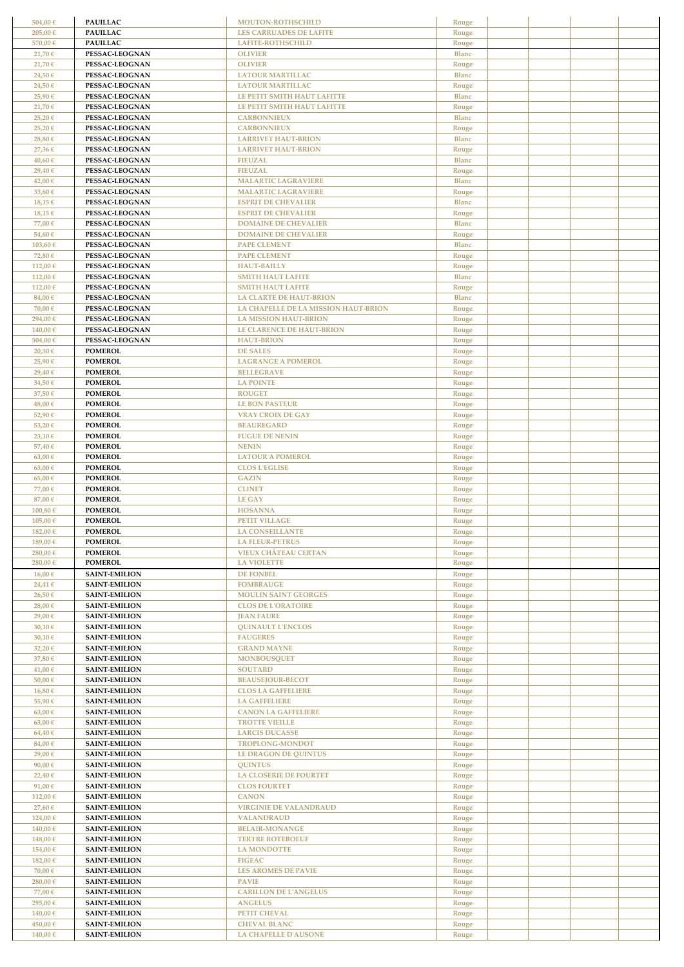| 504,00€            | <b>PAUILLAC</b>                              | MOUTON-ROTHSCHILD                                          | Rouge                 |  |  |
|--------------------|----------------------------------------------|------------------------------------------------------------|-----------------------|--|--|
| 205,00€            | <b>PAUILLAC</b>                              | <b>LES CARRUADES DE LAFITE</b>                             | Rouge                 |  |  |
| 570,00€            | <b>PAUILLAC</b>                              | LAFITE-ROTHSCHILD                                          | Rouge                 |  |  |
| 21,70€             | PESSAC-LEOGNAN                               | <b>OLIVIER</b>                                             | <b>Blanc</b>          |  |  |
| 21,70€<br>24,50€   | PESSAC-LEOGNAN<br>PESSAC-LEOGNAN             | <b>OLIVIER</b><br><b>LATOUR MARTILLAC</b>                  | Rouge<br><b>Blanc</b> |  |  |
| 24,50€             | PESSAC-LEOGNAN                               | <b>LATOUR MARTILLAC</b>                                    | Rouge                 |  |  |
| 25,90€             | PESSAC-LEOGNAN                               | LE PETIT SMITH HAUT LAFITTE                                | <b>Blanc</b>          |  |  |
| 21,70€             | PESSAC-LEOGNAN                               | LE PETIT SMITH HAUT LAFITTE                                | Rouge                 |  |  |
| 25,20€             | PESSAC-LEOGNAN                               | <b>CARBONNIEUX</b>                                         | <b>Blanc</b>          |  |  |
| 25,20€             | PESSAC-LEOGNAN                               | <b>CARBONNIEUX</b>                                         | Rouge                 |  |  |
| 28,80€<br>27,36€   | PESSAC-LEOGNAN<br>PESSAC-LEOGNAN             | <b>LARRIVET HAUT-BRION</b><br><b>LARRIVET HAUT-BRION</b>   | <b>Blanc</b><br>Rouge |  |  |
| 40,60€             | PESSAC-LEOGNAN                               | <b>FIEUZAL</b>                                             | <b>Blanc</b>          |  |  |
| 29,40€             | PESSAC-LEOGNAN                               | <b>FIEUZAL</b>                                             | Rouge                 |  |  |
| 42,00€             | PESSAC-LEOGNAN                               | <b>MALARTIC LAGRAVIERE</b>                                 | <b>Blanc</b>          |  |  |
| 33,60 €            | PESSAC-LEOGNAN                               | <b>MALARTIC LAGRAVIERE</b>                                 | Rouge                 |  |  |
| 18,15€             | PESSAC-LEOGNAN                               | <b>ESPRIT DE CHEVALIER</b>                                 | <b>Blanc</b>          |  |  |
| 18,15€<br>77,00€   | PESSAC-LEOGNAN<br>PESSAC-LEOGNAN             | <b>ESPRIT DE CHEVALIER</b><br><b>DOMAINE DE CHEVALIER</b>  | Rouge<br><b>Blanc</b> |  |  |
| 54,60€             | PESSAC-LEOGNAN                               | <b>DOMAINE DE CHEVALIER</b>                                | Rouge                 |  |  |
| 103,60€            | PESSAC-LEOGNAN                               | <b>PAPE CLEMENT</b>                                        | <b>Blanc</b>          |  |  |
| 72,80€             | PESSAC-LEOGNAN                               | <b>PAPE CLEMENT</b>                                        | Rouge                 |  |  |
| 112,00€            | PESSAC-LEOGNAN                               | <b>HAUT-BAILLY</b>                                         | Rouge                 |  |  |
| 112,00€            | PESSAC-LEOGNAN                               | <b>SMITH HAUT LAFITE</b>                                   | <b>Blanc</b>          |  |  |
| 112,00€<br>84,00€  | PESSAC-LEOGNAN<br>PESSAC-LEOGNAN             | <b>SMITH HAUT LAFITE</b><br><b>LA CLARTE DE HAUT-BRION</b> | Rouge<br><b>Blanc</b> |  |  |
| 70,00€             | PESSAC-LEOGNAN                               | LA CHAPELLE DE LA MISSION HAUT-BRION                       | Rouge                 |  |  |
| 294,00€            | PESSAC-LEOGNAN                               | <b>LA MISSION HAUT-BRION</b>                               | Rouge                 |  |  |
| 140,00€            | PESSAC-LEOGNAN                               | <b>LE CLARENCE DE HAUT-BRION</b>                           | Rouge                 |  |  |
| 504,00€            | PESSAC-LEOGNAN                               | <b>HAUT-BRION</b>                                          | Rouge                 |  |  |
| 20,30€             | <b>POMEROL</b>                               | <b>DE SALES</b>                                            | Rouge                 |  |  |
| 25,90€<br>29,40€   | <b>POMEROL</b><br><b>POMEROL</b>             | <b>LAGRANGE A POMEROL</b><br><b>BELLEGRAVE</b>             | Rouge<br>Rouge        |  |  |
| 34,50€             | <b>POMEROL</b>                               | <b>LA POINTE</b>                                           | Rouge                 |  |  |
| 37,50 €            | <b>POMEROL</b>                               | <b>ROUGET</b>                                              | Rouge                 |  |  |
| 48,00€             | <b>POMEROL</b>                               | <b>LE BON PASTEUR</b>                                      | Rouge                 |  |  |
| 52,90€             | <b>POMEROL</b>                               | <b>VRAY CROIX DE GAY</b>                                   | Rouge                 |  |  |
| 53,20€             | <b>POMEROL</b>                               | <b>BEAUREGARD</b>                                          | Rouge                 |  |  |
| 23,10 €<br>57,40€  | <b>POMEROL</b><br><b>POMEROL</b>             | <b>FUGUE DE NENIN</b><br><b>NENIN</b>                      | Rouge<br>Rouge        |  |  |
| 63,00 €            | <b>POMEROL</b>                               | <b>LATOUR A POMEROL</b>                                    | Rouge                 |  |  |
| 63,00€             | <b>POMEROL</b>                               | <b>CLOS L'EGLISE</b>                                       | Rouge                 |  |  |
| 65,00€             | <b>POMEROL</b>                               | <b>GAZIN</b>                                               | Rouge                 |  |  |
| 77,00€             | <b>POMEROL</b>                               | <b>CLINET</b>                                              | Rouge                 |  |  |
| 87,00€             | <b>POMEROL</b>                               | <b>LE GAY</b>                                              | Rouge                 |  |  |
| 100,80€<br>105,00€ | <b>POMEROL</b><br><b>POMEROL</b>             | <b>HOSANNA</b><br>PETIT VILLAGE                            | Rouge<br>Rouge        |  |  |
| 182,00 €           | <b>POMEROL</b>                               | <b>LA CONSEILLANTE</b>                                     | Rouge                 |  |  |
| 189,00€            | <b>POMEROL</b>                               | <b>LA FLEUR-PETRUS</b>                                     | Rouge                 |  |  |
| 280,00€            | <b>POMEROL</b>                               | <b>VIEUX CHÂTEAU CERTAN</b>                                | Rouge                 |  |  |
| 280,00€            | <b>POMEROL</b>                               | <b>LA VIOLETTE</b>                                         | Rouge                 |  |  |
| 16,00€<br>24,41€   | <b>SAINT-EMILION</b><br><b>SAINT-EMILION</b> | <b>DE FONBEL</b>                                           | Rouge                 |  |  |
| 26,50€             | <b>SAINT-EMILION</b>                         | <b>FOMBRAUGE</b><br><b>MOULIN SAINT GEORGES</b>            | Rouge<br>Rouge        |  |  |
| 28,00€             | <b>SAINT-EMILION</b>                         | <b>CLOS DE L'ORATOIRE</b>                                  | Rouge                 |  |  |
| 29,00€             | <b>SAINT-EMILION</b>                         | <b>JEAN FAURE</b>                                          | Rouge                 |  |  |
| 30,10€             | <b>SAINT-EMILION</b>                         | <b>QUINAULT L'ENCLOS</b>                                   | Rouge                 |  |  |
| 30,10€             | <b>SAINT-EMILION</b>                         | <b>FAUGERES</b>                                            | Rouge                 |  |  |
| 32,20€<br>37,80€   | <b>SAINT-EMILION</b><br><b>SAINT-EMILION</b> | <b>GRAND MAYNE</b><br><b>MONBOUSQUET</b>                   | Rouge<br>Rouge        |  |  |
| 41,00€             | <b>SAINT-EMILION</b>                         | <b>SOUTARD</b>                                             | Rouge                 |  |  |
| 50,00€             | <b>SAINT-EMILION</b>                         | <b>BEAUSEJOUR-BECOT</b>                                    | Rouge                 |  |  |
| 16,80€             | <b>SAINT-EMILION</b>                         | <b>CLOS LA GAFFELIERE</b>                                  | Rouge                 |  |  |
| 55,90€             | <b>SAINT-EMILION</b>                         | <b>LA GAFFELIERE</b>                                       | Rouge                 |  |  |
| 63,00€             | <b>SAINT-EMILION</b>                         | <b>CANON LA GAFFELIERE</b>                                 | Rouge                 |  |  |
| 63,00€<br>64,40€   | <b>SAINT-EMILION</b><br><b>SAINT-EMILION</b> | <b>TROTTE VIEILLE</b><br><b>LARCIS DUCASSE</b>             | Rouge<br>Rouge        |  |  |
| 84,00€             | <b>SAINT-EMILION</b>                         | TROPLONG-MONDOT                                            | Rouge                 |  |  |
| 29,00€             | <b>SAINT-EMILION</b>                         | <b>LE DRAGON DE QUINTUS</b>                                | Rouge                 |  |  |
| 90,00€             | <b>SAINT-EMILION</b>                         | <b>QUINTUS</b>                                             | Rouge                 |  |  |
| 22,40€             | <b>SAINT-EMILION</b>                         | <b>LA CLOSERIE DE FOURTET</b>                              | Rouge                 |  |  |
| 91,00€<br>112,00€  | <b>SAINT-EMILION</b><br><b>SAINT-EMILION</b> | <b>CLOS FOURTET</b><br><b>CANON</b>                        | Rouge<br>Rouge        |  |  |
| 27,60€             | <b>SAINT-EMILION</b>                         | <b>VIRGINIE DE VALANDRAUD</b>                              | Rouge                 |  |  |
| 124,00€            | <b>SAINT-EMILION</b>                         | <b>VALANDRAUD</b>                                          | Rouge                 |  |  |
| 140,00€            | <b>SAINT-EMILION</b>                         | <b>BELAIR-MONANGE</b>                                      | Rouge                 |  |  |
| 148,00€            | <b>SAINT-EMILION</b>                         | <b>TERTRE ROTEBOEUF</b>                                    | Rouge                 |  |  |
| 154,00€            | <b>SAINT-EMILION</b>                         | <b>LA MONDOTTE</b>                                         | Rouge                 |  |  |
| 182,00€<br>70,00€  | <b>SAINT-EMILION</b><br><b>SAINT-EMILION</b> | <b>FIGEAC</b><br><b>LES AROMES DE PAVIE</b>                | Rouge<br>Rouge        |  |  |
| 280,00€            | <b>SAINT-EMILION</b>                         | <b>PAVIE</b>                                               | Rouge                 |  |  |
| 77,00€             | <b>SAINT-EMILION</b>                         | <b>CARILLON DE L'ANGELUS</b>                               | Rouge                 |  |  |
| 295,00€            | <b>SAINT-EMILION</b>                         | <b>ANGELUS</b>                                             | Rouge                 |  |  |
| 140,00€            | <b>SAINT-EMILION</b>                         | PETIT CHEVAL                                               | Rouge                 |  |  |
| 450,00€            | <b>SAINT-EMILION</b>                         | <b>CHEVAL BLANC</b>                                        | Rouge                 |  |  |
| 140,00€            | <b>SAINT-EMILION</b>                         | <b>LA CHAPELLE D'AUSONE</b>                                | Rouge                 |  |  |